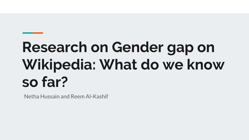# **Research on Gender gap on Wikipedia: What do we know so far?**

Netha Hussain and Reem Al-Kashif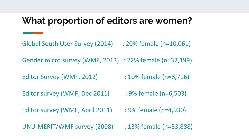#### **What proportion of editors are women?**

Global South User Survey (2014) : 20% female (n=10,061)

Gender micro survey (WMF, 2013) : 22% female (n=32,199)

Editor Survey (WMF, 2012) : 10% female (n=8,716)

Editor survey (WMF, Dec 2011) : 9% female (n=6,503)

- 
- 

Editor survey (WMF, April 2011) : 9% female (n=4,930)

UNU-MERIT/WMF survey (2008) : 13% female (n=53,888)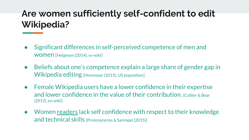# **Are women sufficiently self-confident to edit Wikipedia?**

- Significant differences in self-perceived competence of men and women [Helgeson (2014), sv-wiki]
- Beliefs about one's competence explain a large share of gender gap in Wikipedia editing [Hinnosaar (2015), US population]
- Female Wikipedia users have a lower confidence in their expertise and lower confidence in the value of their contribution. [Collier & Bear] (2012), en-wiki]
- Women readers lack self confidence with respect to their knowledge and technical skills [Protonotarios & Sarimpei (2015)]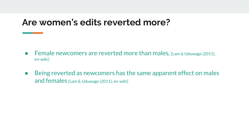#### **Are women's edits reverted more?**

- Female newcomers are reverted more than males, [Lam & Uduwage (2011), en-wiki]
- Being reverted as newcomers has the same apparent effect on males and females [Lam & Uduwage (2011), en-wiki]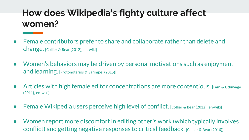## **How does Wikipedia's fighty culture affect women?**

- Female contributors prefer to share and collaborate rather than delete and change. [Collier & Bear (2012), en-wiki]
- Women's behaviors may be driven by personal motivations such as enjoyment and learning. [Protonotarios & Sarimpei (2015)]
- Articles with high female editor concentrations are more contentious. [Lam & Uduwage (2011), en-wiki]
- **Female Wikipedia users perceive high level of conflict.** [Collier & Bear (2012), en-wiki]
- Women report more discomfort in editing other's work (which typically involves conflict) and getting negative responses to critical feedback. [Collier & Bear (2016)]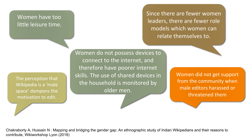#### Women have too little leisure time.

Since there are fewer women leaders, there are fewer role models which women can relate themselves to.

The perception that Wikipedia is a 'male space' dampens the motivation to edit.

Women do not possess devices to connect to the internet, and therefore have poorer internet skills. The use of shared devices in the household is monitored by older men.

Women did not get support from the community when male editors harassed or threatened them

Chakraborty A, Hussain N : Mapping and bridging the gender gap: An ethnographic study of Indian Wikipedians and their reasons to contribute, Wikiworkshop Lyon (2018)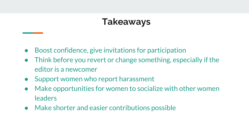### **Takeaways**

- Boost confidence, give invitations for participation
- Think before you revert or change something, especially if the editor is a newcomer
- Support women who report harassment
- Make opportunities for women to socialize with other women leaders
- Make shorter and easier contributions possible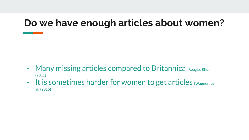# **Do we have enough articles about women?**

- Many missing articles compared to Britannica [Reagle, Rhue] (2011)]
- $-$  It is sometimes harder for women to get articles  $_{[Wagner, et]}$ al. (2016)]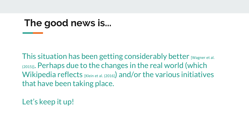### **The good news is...**

This situation has been getting considerably better [Wagner et al. (2015)]. Perhaps due to the changes in the real world (which Wikipedia reflects [Klein et al. (2016]) and/or the various initiatives that have been taking place.

Let's keep it up!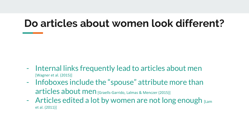# **Do articles about women look different?**

- Internal links frequently lead to articles about men [Wagner et al. (2015)]
- Infoboxes include the "spouse" attribute more than articles about men [Graells-Garrido, Lalmas & Menczer (2015)]
- Articles edited a lot by women are not long enough  $L_{Lam}$ et al. (2011)]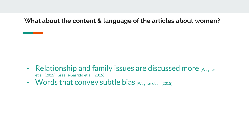**What about the content & language of the articles about women?**

- Relationship and family issues are discussed more [Wagner] et al. (2015), Graells-Garrido et al. (2015)]
- Words that convey subtle bias [Wagner et al. (2015)]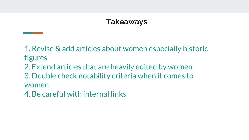#### **Takeaways**

1. Revise & add articles about women especially historic figures

- 2. Extend articles that are heavily edited by women
- 3. Double check notability criteria when it comes to

women

4. Be careful with internal links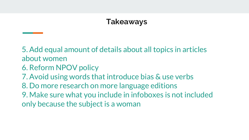#### **Takeaways**

5. Add equal amount of details about all topics in articles about women

6. Reform NPOV policy

7. Avoid using words that introduce bias & use verbs 8. Do more research on more language editions 9. Make sure what you include in infoboxes is not included only because the subject is a woman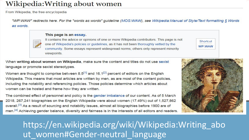#### Wikipedia: Writing about women

From Wikipedia, the free encyclopedia

"WP:WAW" redirects here. For the "words as words" guideline (MOS:WAW), see Wikipedia:Manual of Style/Text formatting § Words as words.

This page is an essay.

It contains the advice or opinions of one or more Wikipedia contributors. This page is not one of Wikipedia's policies or guidelines, as it has not been thoroughly vetted by the community. Some essays represent widespread norms; others only represent minority viewpoints.

When writing about women on Wikipedia, make sure the content and titles do not use sexist language or promote sexist stereotypes.

Women are thought to comprise between 8.5<sup>[1]</sup> and 16.1<sup>[2]</sup> percent of editors on the English Wikipedia. This means that most articles are written by men, as are most of the content policies, including the notability and referencing policies. Those policies determine which articles about women can be hosted and frame how they are written.

The combined effect of personnel and policy is the gender imbalance of our content. As of 5 March 2018, 267,241 biographies on the English Wikipedia were about women (17.49%) out of 1,527,862 overall.<sup>[3]</sup> As a result of sourcing and notability issues, almost all biographies before 1900 are of men.<sup>[a]</sup> Achieving gender balance, diversity and fairness is in the interests of all editors and readers.



Shortcut

WP:WAW

https://en.wikipedia.org/wiki/Wikipedia:Writing\_abo ut women#Gender-neutral language